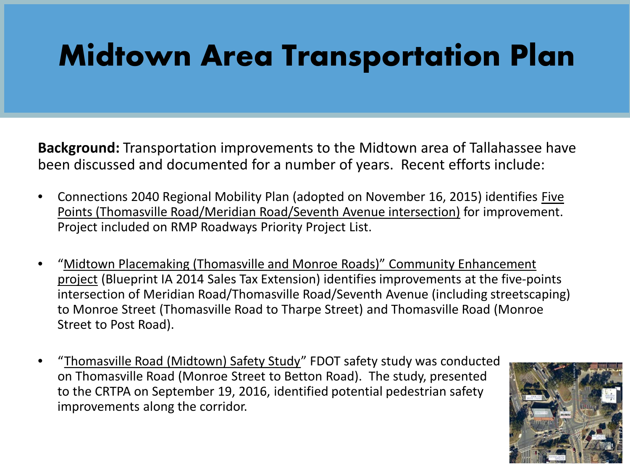**Background:** Transportation improvements to the Midtown area of Tallahassee have been discussed and documented for a number of years. Recent efforts include:

- Connections 2040 Regional Mobility Plan (adopted on November 16, 2015) identifies Five Points (Thomasville Road/Meridian Road/Seventh Avenue intersection) for improvement. Project included on RMP Roadways Priority Project List.
- "Midtown Placemaking (Thomasville and Monroe Roads)" Community Enhancement project (Blueprint IA 2014 Sales Tax Extension) identifies improvements at the five-points intersection of Meridian Road/Thomasville Road/Seventh Avenue (including streetscaping) to Monroe Street (Thomasville Road to Tharpe Street) and Thomasville Road (Monroe Street to Post Road).
- "Thomasville Road (Midtown) Safety Study" FDOT safety study was conducted on Thomasville Road (Monroe Street to Betton Road). The study, presented to the CRTPA on September 19, 2016, identified potential pedestrian safety improvements along the corridor.

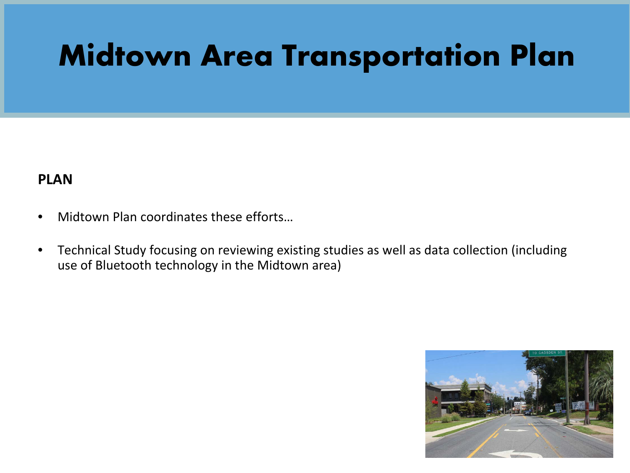### **PLAN**

- Midtown Plan coordinates these efforts…
- Technical Study focusing on reviewing existing studies as well as data collection (including use of Bluetooth technology in the Midtown area)

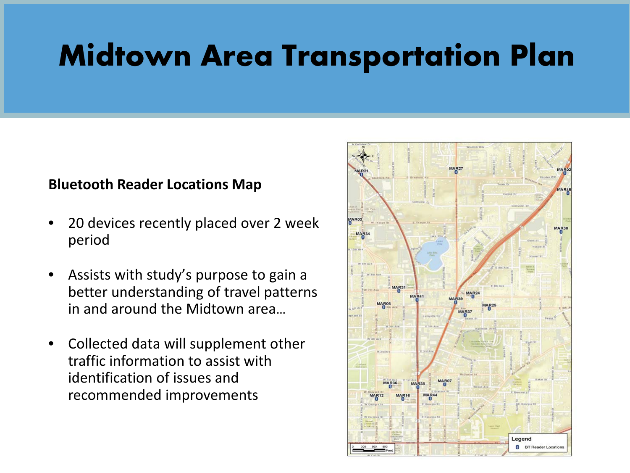#### **Bluetooth Reader Locations Map**

- 20 devices recently placed over 2 week period
- Assists with study's purpose to gain a better understanding of travel patterns in and around the Midtown area…
- Collected data will supplement other traffic information to assist with identification of issues and recommended improvements

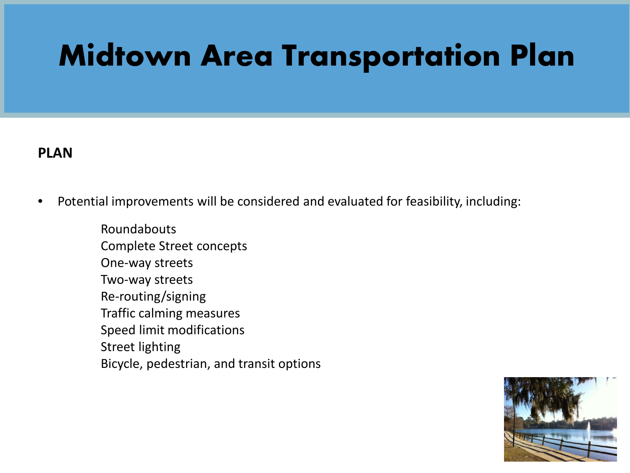### **PLAN**

• Potential improvements will be considered and evaluated for feasibility, including:

Roundabouts Complete Street concepts One-way streets Two-way streets Re-routing/signing Traffic calming measures Speed limit modifications Street lighting Bicycle, pedestrian, and transit options

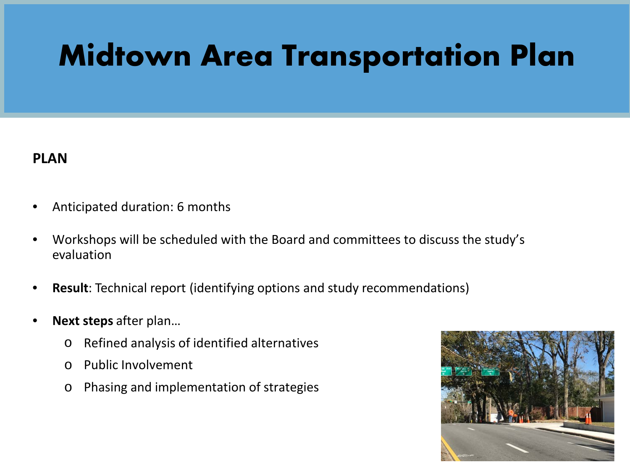#### **PLAN**

- Anticipated duration: 6 months
- Workshops will be scheduled with the Board and committees to discuss the study's evaluation
- **Result**: Technical report (identifying options and study recommendations)
- **Next steps** after plan…
	- o Refined analysis of identified alternatives
	- o Public Involvement
	- o Phasing and implementation of strategies